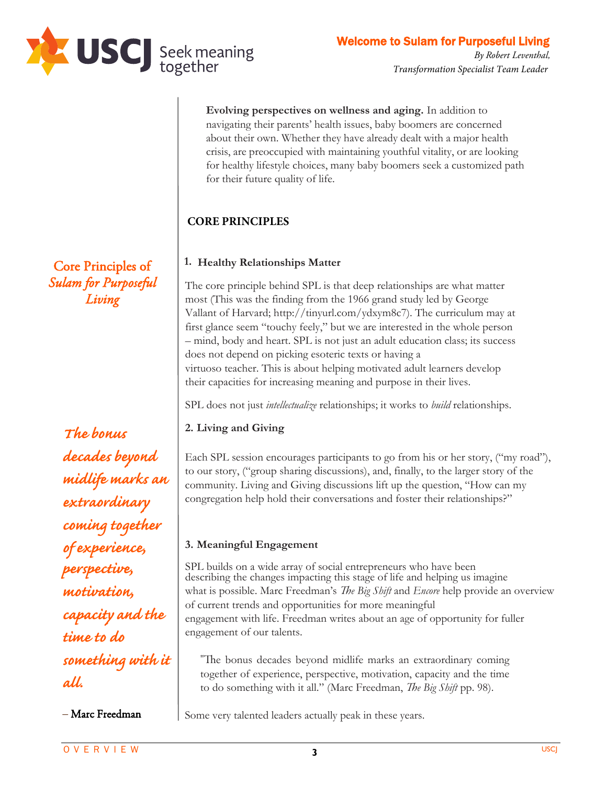

**Evolving perspectives on wellness and aging.** In addition to navigating their parents' health issues, baby boomers are concerned about their own. Whether they have already dealt with a major health crisis, are preoccupied with maintaining youthful vitality, or are looking for healthy lifestyle choices, many baby boomers seek a customized path for their future quality of life.

# **CORE PRINCIPLES**

## **1. Healthy Relationships Matter**

The core principle behind SPL is that deep relationships are what matter most (This was the finding from the 1966 grand study led by George Vallant of Harvard; http://tinyurl.com/ydxym8c7). The curriculum may at first glance seem "touchy feely," but we are interested in the whole person – mind, body and heart. SPL is not just an adult education class; its success does not depend on picking esoteric texts or having a virtuoso teacher. This is about helping motivated adult learners develop their capacities for increasing meaning and purpose in their lives.

SPL does not just *intellectualize* relationships; it works to *build* relationships.

# **2. Living and Giving**

Each SPL session encourages participants to go from his or her story ("my road") to our story ("group sharing discussions) and, finally, to the larger story of the community. Living and Giving discussions lift up the question, "How can my congregation help hold their conversations and foster their relationships?"

### **3. Meaningful Engagement**

SPL builds on a wide array of social entrepreneurs who have been describing the changes impacting this stage of life and helping us imagine what is possible. Marc Freedman's *The Big Shift* and *Encore* help provide an overview of current trends and opportunities for more meaningful engagement with life. Freedman writes about an age of opportunity for fuller engagement of our talents.

"The bonus decades beyond midlife marks an extraordinary coming together of experience, perspective, motivation, capacity and the time to do something with it all." (Marc Freedman, *The Big Shift* pp. 98).

Some very talented leaders actually peak in these years.

Core Principles of *Sulam for Purposeful Living*

*The bonus decades beyond midlife marks an extraordinary coming together of experience, perspective, motivation, capacity and the time to do something with it all.*

– Marc Freedman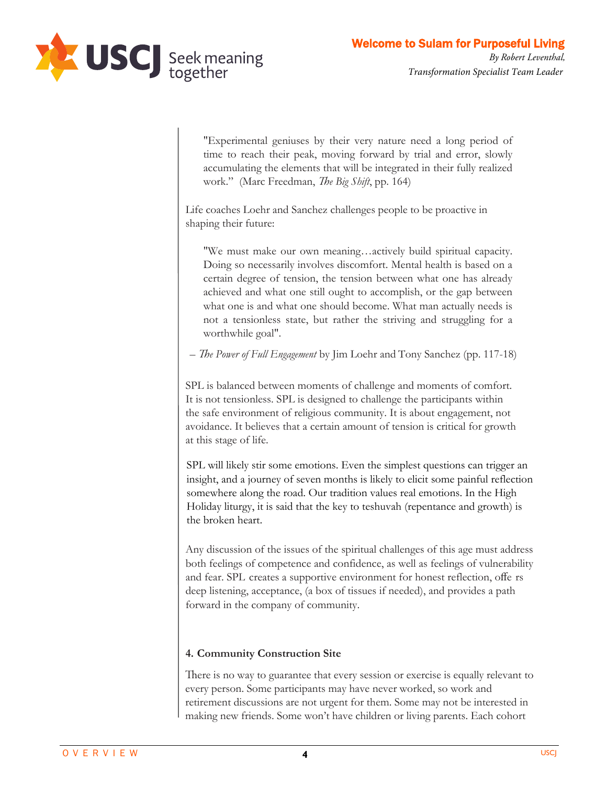

"Experimental geniuses by their very nature need a long period of time to reach their peak, moving forward by trial and error, slowly accumulating the elements that will be integrated in their fully realized work." (Marc Freedman, *The Big Shift*, pp. 164)

Life coaches Loehr and Sanchez challenges people to be proactive in shaping their future:

"We must make our own meaning…actively build spiritual capacity. Doing so necessarily involves discomfort. Mental health is based on a certain degree of tension, the tension between what one has already achieved and what one still ought to accomplish, or the gap between what one is and what one should become. What man actually needs is not a tensionless state, but rather the striving and struggling for a worthwhile goal".

– *e Power of Full Engagement* by Jim Loehr and Tony Sanchez (pp. 117-18)

SPL is balanced between moments of challenge and moments of comfort. It is not tensionless. SPL is designed to challenge the participants within the safe environment of religious community. It is about engagement, not avoidance. It believes that a certain amount of tension is critical for growth at this stage of life.

SPL will likely stir some emotions. Even the simplest questions can trigger an insight, and a journey of seven months is likely to elicit some painful reflection somewhere along the road. Our tradition values real emotions. In the High Holiday liturgy, it is said that the key to teshuvah (repentance and growth) is the broken heart.

Any discussion of the issues of the spiritual challenges of this age must address both feelings of competence and confidence, as well as feelings of vulnerability and fear. SPL creates a supportive environment for honest reflection, offe rs deep listening, acceptance, (a box of tissues if needed), and provides a path forward in the company of community.

### **4. Community Construction Site**

There is no way to guarantee that every session or exercise is equally relevant to every person. Some participants may have never worked, so work and retirement discussions are not urgent for them. Some may not be interested in making new friends. Some won't have children or living parents. Each cohort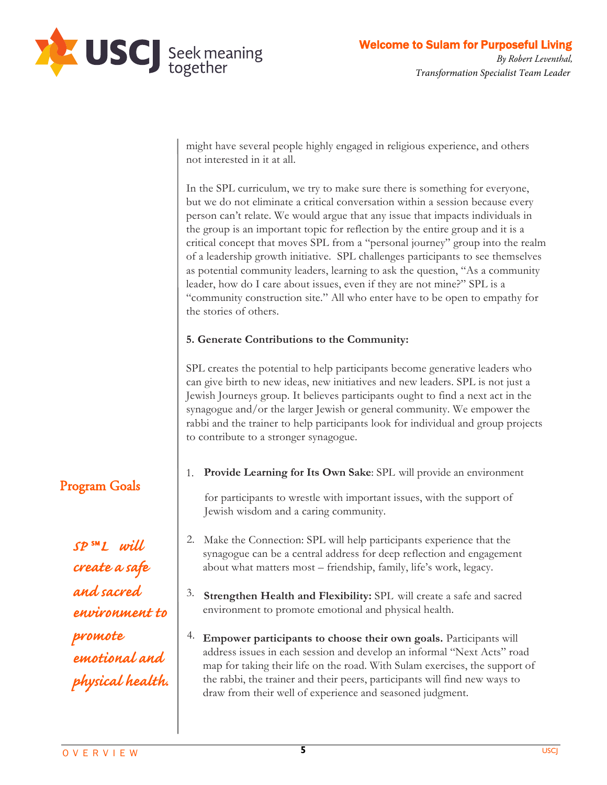

might have several people highly engaged in religious experience, and others not interested in it at all.

In the SPL curriculum, we try to make sure there is something for everyone, but we do not eliminate a critical conversation within a session because every person can't relate. We would argue that any issue that impacts individuals in the group is an important topic for reflection by the entire group and it is a critical concept that moves SPL from a "personal journey" group into the realm of a leadership growth initiative. SPL challenges participants to see themselves as potential community leaders, learning to ask the question, "As a community leader, how do I care about issues, even if they are not mine?" SPL is a "community construction site." All who enter have to be open to empathy for the stories of others.

#### **5. Generate Contributions to the Community**

SPL creates the potential to help participants become generative leaders who can give birth to new ideas, new initiatives and new leaders. SPL is not just a Jewish Journeys group. It believes participants ought to find a next act in the synagogue and/or the larger Jewish or general community. We empower the rabbi and the trainer to help participants look for individual and group projects to contribute to a stronger synagogue.

1. **Provide Learning for Its Own Sake**: SPL will provide an environment or participants to wrestle with important issues, with the support of Jewish wisdom and a caring community.

2. about what matters most – friendship, family, life's work, legacy. Make the Connection: SPL will help participants experience that the synagogue can be a central address for deep reflection and engagement

**Strengthen Health and Flexibility:** SPL will create a safe and sacred environment to promote emotional and physical health.

3. address issues in each session and develop an informal "Next Acts" road 4. draw from their well of experience and seasoned judgment. **Empower participants to choose their own goals.** Participants will map for taking their life on the road. With Sulam exercises, the support of the rabbi, the trainer and their peers, participants will find new ways to

# Program Goals

*SP* ℠*L will create a safe and sacred environment to promote emotional and physical health.*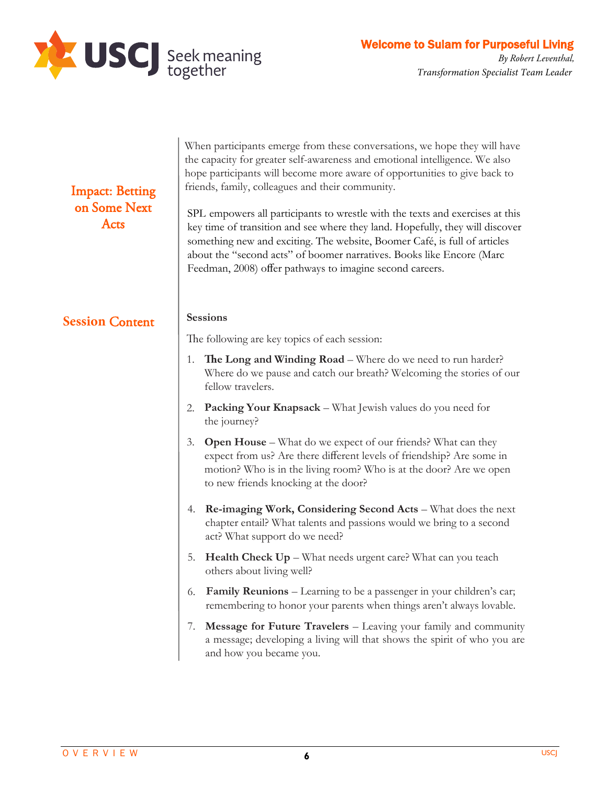

| <b>Impact: Betting</b><br>on Some Next<br>Acts | When participants emerge from these conversations, we hope they will have<br>the capacity for greater self-awareness and emotional intelligence. We also<br>hope participants will become more aware of opportunities to give back to<br>friends, family, colleagues and their community.<br>SPL empowers all participants to wrestle with the texts and exercises at this<br>key time of transition and see where they land. Hopefully, they will discover<br>something new and exciting. The website, Boomer Café, is full of articles<br>about the "second acts" of boomer narratives. Books like Encore (Marc<br>Feedman, 2008) offer pathways to imagine second careers. |  |
|------------------------------------------------|-------------------------------------------------------------------------------------------------------------------------------------------------------------------------------------------------------------------------------------------------------------------------------------------------------------------------------------------------------------------------------------------------------------------------------------------------------------------------------------------------------------------------------------------------------------------------------------------------------------------------------------------------------------------------------|--|
| <b>Session Content</b>                         | <b>Sessions</b>                                                                                                                                                                                                                                                                                                                                                                                                                                                                                                                                                                                                                                                               |  |
|                                                | The following are key topics of each session:                                                                                                                                                                                                                                                                                                                                                                                                                                                                                                                                                                                                                                 |  |
|                                                | The Long and Winding Road – Where do we need to run harder?<br>1.<br>Where do we pause and catch our breath? Welcoming the stories of our<br>fellow travelers.                                                                                                                                                                                                                                                                                                                                                                                                                                                                                                                |  |
|                                                | <b>Packing Your Knapsack</b> – What Jewish values do you need for<br>2.<br>the journey?                                                                                                                                                                                                                                                                                                                                                                                                                                                                                                                                                                                       |  |
|                                                | <b>Open House</b> – What do we expect of our friends? What can they<br>3.<br>expect from us? Are there different levels of friendship? Are some in<br>motion? Who is in the living room? Who is at the door? Are we open<br>to new friends knocking at the door?                                                                                                                                                                                                                                                                                                                                                                                                              |  |
|                                                | <b>Re-imaging Work, Considering Second Acts</b> – What does the next<br>4.<br>chapter entail? What talents and passions would we bring to a second<br>act? What support do we need?                                                                                                                                                                                                                                                                                                                                                                                                                                                                                           |  |
|                                                | Health Check Up - What needs urgent care? What can you teach<br>5.<br>others about living well?                                                                                                                                                                                                                                                                                                                                                                                                                                                                                                                                                                               |  |
|                                                | <b>Family Reunions</b> – Learning to be a passenger in your children's car;<br>6.<br>remembering to honor your parents when things aren't always lovable.                                                                                                                                                                                                                                                                                                                                                                                                                                                                                                                     |  |
|                                                | 7. Message for Future Travelers - Leaving your family and community<br>a message; developing a living will that shows the spirit of who you are<br>and how you became you.                                                                                                                                                                                                                                                                                                                                                                                                                                                                                                    |  |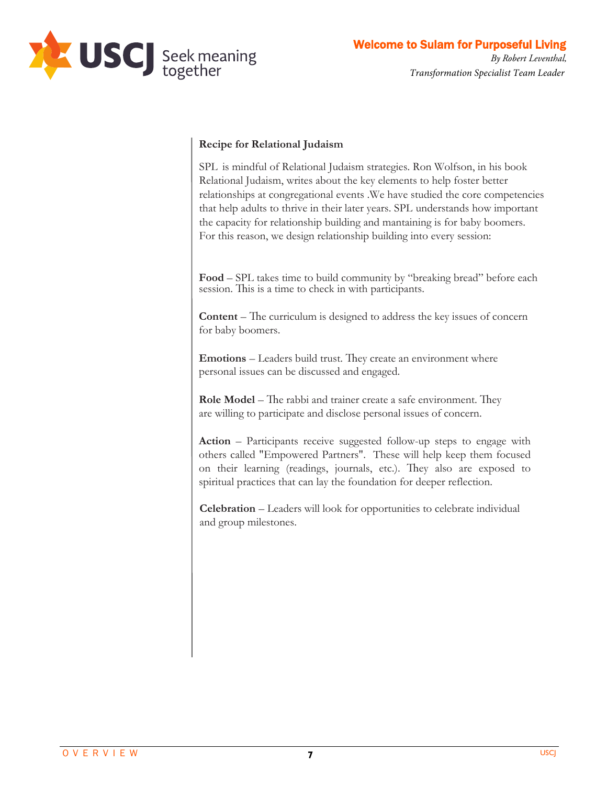

#### **Recipe for Relational Judaism**

SPL is mindful of Relational Judaism strategies. Ron Wolfson, in his book *Relational Judaism*, writes about the key elements to help foster better relationships at congregational events .We have studied the core competencies that help adults to thrive in their later years. SPL understands how important the capacity for relationship building and mantaining is for baby boomers. For this reason, we design relationship building into every session:

**Food** – SPL takes time to build community by "breaking bread" before each session. This is a time to check in with participants.

**Content** – The curriculum is designed to address the key issues of concern for baby boomers.

**Emotions** – Leaders build trust. They create an environment where personal issues can be discussed and engaged.

**Role Model** – The rabbi and trainer create a safe environment. They are willing to participate and disclose personal issues of concern.

**Action** – Participants receive suggested follow-up steps to engage with others called "Empowered Partners." These will help keep them focused on their learning (readings, journals, etc.). They also are exposed to spiritual practices that can lay the foundation for deeper reflection.

**Celebration** – Leaders will look for opportunities to celebrate individual and group milestones.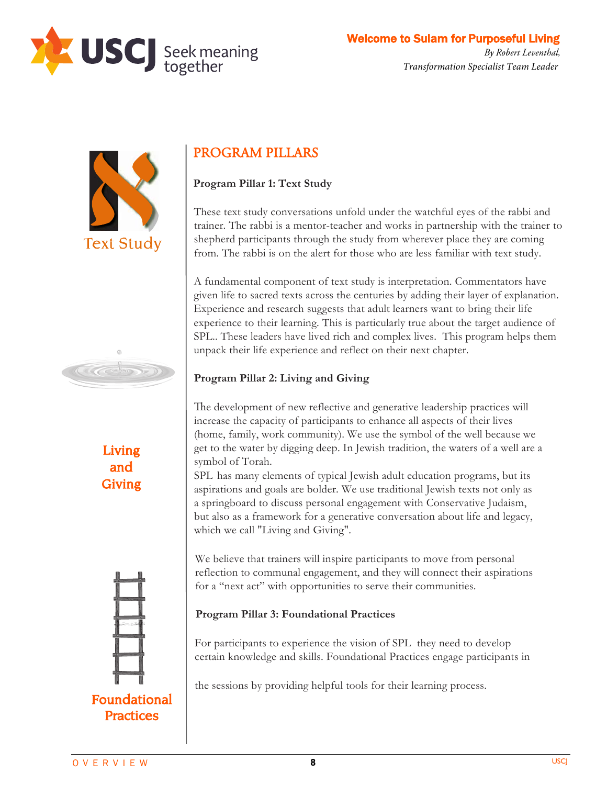





Living and Giving



# PROGRAM PILLARS

# **Program Pillar 1: Text Study**

These text study conversations unfold under the watchful eyes of the rabbi and trainer. The rabbi is a mentor-teacher and works in partnership with the trainer to shepherd participants through the study from wherever place they are coming from. The rabbi is on the alert for those who are less familiar with text study.

A fundamental component of text study is interpretation. Commentators have given life to sacred texts across the centuries by adding their layer of explanation. Experience and research suggests that adult learners want to bring their life experience to their learning. This is particularly true about the target audience of SPL.. These leaders have lived rich and complex lives. This program helps them unpack their life experience and reflect on their next chapter.

# **Program Pillar 2: Living and Giving**

The development of new reflective and generative leadership practices will increase the capacity of participants to enhance all aspects of their lives (home, family, work community). We use the symbol of the well because we get to the water by digging deep. In Jewish tradition, the waters of a well are a symbol of Torah.

SPL has many elements of typical Jewish adult education programs, but its aspirations and goals are bolder. We use traditional Jewish texts not only as a springboard to discuss personal engagement with Conservative Judaism, but also as a framework for a generative conversation about life and legacy, which we call "Living and Giving."

We believe that trainers will inspire participants to move from personal reflection to communal engagement, and they will connect their aspirations for a "next act" with opportunities to serve their communities.

# **Program Pillar 3: Foundational Practices**

For participants to experience the vision of SPL they need to develop certain knowledge and skills. Foundational Practices engage participants in

the sessions by providing helpful tools for their learning process.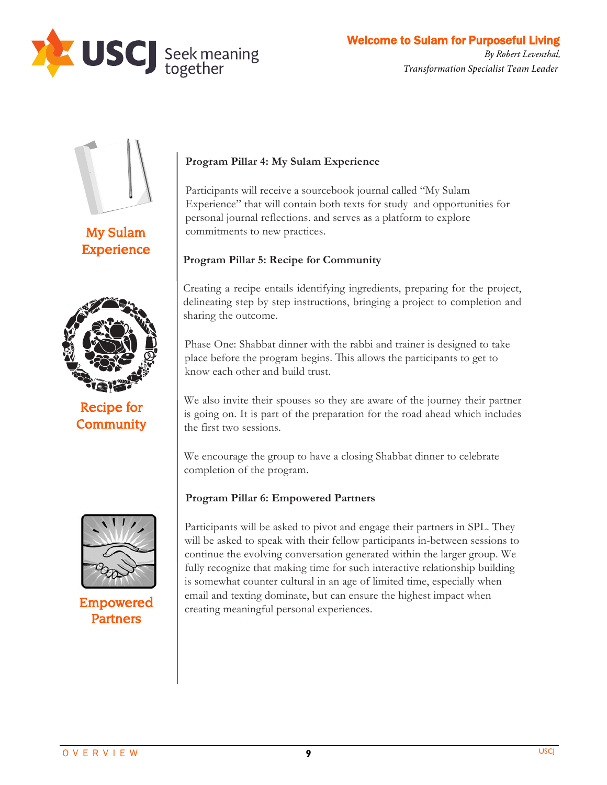



My Sulam **Experience** 



Recipe for **Community** 



Empowered Partners

#### **Program Pillar 4: My Sulam Experience**

Participants will receive a sourcebook journal called "My Sulam Experience" that will contain both texts for study and opportunities for personal journal reflections. and serves as a platform to explore commitments to new practices.

#### **Program Pillar 5: Recipe for Community**

Creating a recipe entails identifying ingredients, preparing for the project, delineating step by step instructions, bringing a project to completion and sharing the outcome.

Phase One: Shabbat dinner with the rabbi and trainer is designed to take place before the program begins. This allows the participants to get to know each other and build trust.

We also invite their spouses so they are aware of the journey their partner is going on. It is part of the preparation for the road ahead which includes the first two sessions.

We encourage the group to have a closing Shabbat dinner to celebrate completion of the program.

#### **Program Pillar 6: Empowered Partners**

Participants will be asked to pivot and engage their partners in SPL. They will be asked to speak with their fellow participants in-between sessions to continue the evolving conversation generated within the larger group. We fully recognize that making time for such interactive relationship building is somewhat counter cultural in an age of limited time, especially when email and texting dominate, but can ensure the highest impact when creating meaningful personal experiences.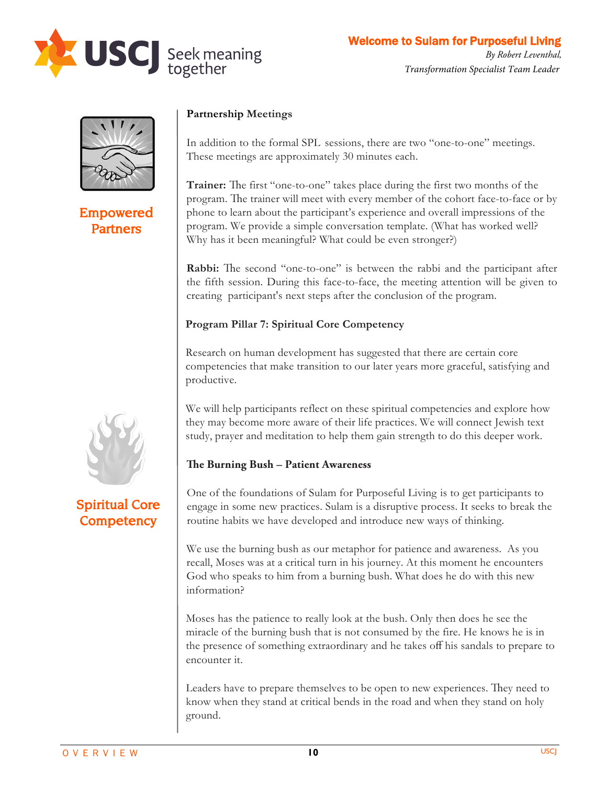



# Empowered **Partners**

## **Partnership Meetings**

In addition to the formal SPLsessions, there are two "one-to-one" meetings. These meetings are approximately 30 minutes each.

**Trainer:** The first "one-to-one" takes place during the first two months of the program. The trainer will meet with every member of the cohort face-to-face or by phone to learn about the participant's experience and overall impressions of the program. We provide a simple conversation template. (What has worked well? Why has it been meaningful? What could be even stronger?)

**Rabbi:** The second "one-to-one" is between the rabbi and the participant after the fifth session. During this face-to-face, the meeting attention will be given to creating participant's next steps after the conclusion of the program.

### **Program Pillar 7: Spiritual Core Competency**

Research on human development has suggested that there are certain core competencies that make transition to our later years more graceful, satisfying and productive.

We will help participants reflect on these spiritual competencies and explore how they may become more aware of their life practices. We will connect Jewish text study, prayer and meditation to help them gain strength to do this deeper work.

# **e Burning Bush – Patient Awareness**

One of the foundations of SPL is to get participants to engage in some new practices. Sulam is a disruptive process. It seeks to break the routine habits we have developed and introduce new ways of thinking.

We use the burning bush as our metaphor for patience and awareness. As you recall, Moses was at a critical turn in his journey. At this moment he encounters God who speaks to him from a burning bush. What does he do with this new information?

Moses has the patience to really look at the bush. Only then does he see the miracle of the burning bush that is not consumed by the fire. He knows he is in the presence of something extraordinary and he takes off his sandals to prepare to encounter it.

Leaders have to prepare themselves to be open to new experiences. They need to know when they stand at critical bends in the road and when they stand on holy ground.



# Spiritual Core **Competency**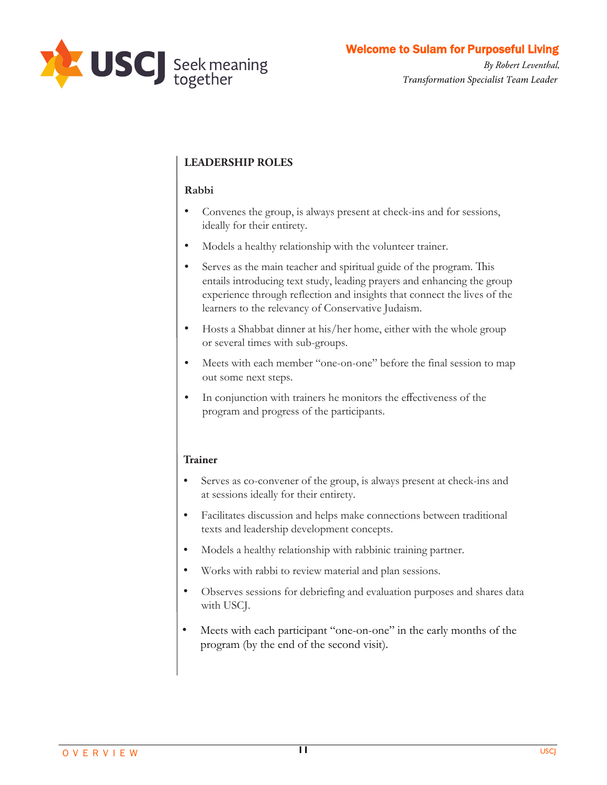

Welcome to Sulam for Purposeful Living

*By Robert Leventhal, Transformation Specialist Team Leader*

## **LEADERSHIP ROLES**

#### **Rabbi**

- Convenes the group, is always present at check-ins and for sessions, ideally for their entirety
- Models a healthy relationship with the volunteer trainer
- Serves as the main teacher and spiritual guide of the program. This entails introducing text study, leading prayers and enhancing the group experience through reflection and insights that connect the lives of the learners to the relevancy of Conservative Judaism
- Hosts a Shabbat dinner at his/her home, either with the whole group or several times with sub-groups
- Meets with each member "one-on-one" before the final session to map out some next steps
- In conjunction with trainers he monitors the effectiveness of the program and progress of the participants

#### **Trainer**

- Serves as co-convener of the group, is always present at check-ins and at sessions ideally for their entirety
- Facilitates discussion and helps make connections between traditional texts and leadership development concepts
- Models a healthy relationship with rabbinic training partner
- Works with rabbi to review material and plan sessions
- Observes sessions for debriefing and evaluation purposes and shares data with USCJ
- Meets with each participant "one-on-one" in the early months of the program (by the end of the second visit)